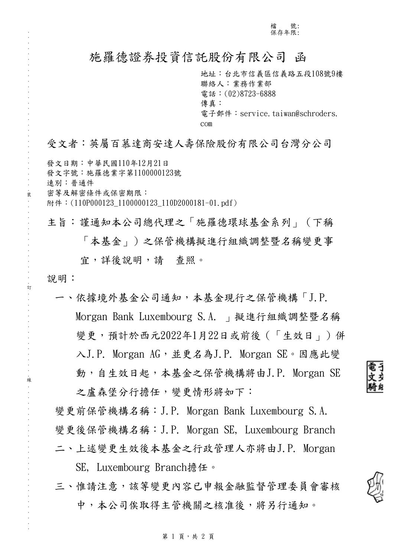### 施羅德證券投資信託股份有限公司 函

地址:台北市信義區信義路五段108號9樓 聯絡人:業務作業部 電話:(02)8723-6888 傳真: 電子郵件: service.taiwan@schroders. com

受文者:英屬百慕達商安達人壽保險股份有限公司台灣分公司

發文日期:中華民國110年12月21日 發文字號:施羅德業字第1100000123號 速別:普通件 密等及解密條件或保密期限: 附件: (110P000123 1100000123 110D2000181-01.pdf)

. . . . . . . . . . . . . . . . . . . . . . . . . . . . . . 裝 . . . . . . . . . . . . . . . . 訂 . . . . . . . . . . . . . . . . 線 . . . . . . . . . . . . . . . . . . . . . . . . . . .

說明:

主旨:謹通知本公司總代理之「施羅德環球基金系列」(下稱 「本基金」)之保管機構擬進行組織調整暨名稱變更事 宜,詳後說明,請 查照。

一、依據境外基金公司通知,本基金現行之保管機構「J.P. Morgan Bank Luxembourg S.A. 」擬進行組織調整暨名稱 變更,預計於西元2022年1月22日或前後(「生效日」)併 入J.P. Morgan AG,並更名為J.P. Morgan SE。因應此變 動,自生效日起,本基金之保管機構將由J.P. Morgan SE 之盧森堡分行擔任,變更情形將如下:

變更前保管機構名稱:J.P. Morgan Bank Luxembourg S.A. 變更後保管機構名稱:J.P. Morgan SE, Luxembourg Branch 二、上述變更生效後本基金之行政管理人亦將由J.P. Morgan

SE, Luxembourg Branch擔任。

三、惟請注意,該等變更內容已申報金融監督管理委員會審核 中,本公司俟取得主管機關之核准後,將另行通知。



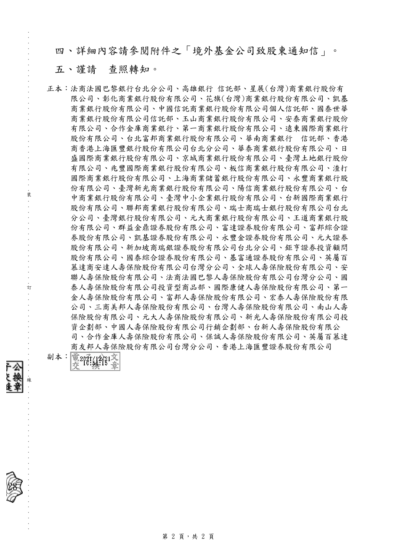四、詳細內容請參閱附件之「境外基金公司致股東通知信」。

### 五、謹請 查照轉知。

. . . . . . . . . . . . . . . . . . . . . . . . . . . . . . 裝 . . . . . . . . . . . . . . . . 訂 . . . . . . . . . . . . . . . . 線 . . . . . . . . . . . . . . . . . . . . . . . . . . .

正本:法商法國巴黎銀行台北分公司、高雄銀行 信託部、星展(台灣)商業銀行股份有 限公司、彰化商業銀行股份有限公司、花旗(台灣)商業銀行股份有限公司、凱基 商業銀行股份有限公司、中國信託商業銀行股份有限公司個人信託部、國泰世華 商業銀行股份有限公司信託部、玉山商業銀行股份有限公司、安泰商業銀行股份 有限公司、合作金庫商業銀行、第一商業銀行股份有限公司、遠東國際商業銀行 股份有限公司、台北富邦商業銀行股份有限公司、華南商業銀行 信託部、香港 商香港上海匯豐銀行股份有限公司台北分公司、華泰商業銀行股份有限公司、日 盛國際商業銀行股份有限公司、京城商業銀行股份有限公司、臺灣土地銀行股份 有限公司、兆豐國際商業銀行股份有限公司、板信商業銀行股份有限公司、渣打 國際商業銀行股份有限公司、上海商業儲蓄銀行股份有限公司、永豐商業銀行股 份有限公司、臺灣新光商業銀行股份有限公司、陽信商業銀行股份有限公司、台 中商業銀行股份有限公司、臺灣中小企業銀行股份有限公司、台新國際商業銀行 股份有限公司、聯邦商業銀行股份有限公司、瑞士商瑞士銀行股份有限公司台北 分公司、臺灣銀行股份有限公司、元大商業銀行股份有限公司、王道商業銀行股 份有限公司、群益金鼎證券股份有限公司、富達證券股份有限公司、富邦綜合證 券股份有限公司、凱基證券股份有限公司、永豐金證券股份有限公司、元大證券 股份有限公司、新加坡商瑞銀證券股份有限公司台北分公司、鉅亨證券投資顧問 股份有限公司、國泰綜合證券股份有限公司、基富通證券股份有限公司、英屬百 慕達商安達人壽保險股份有限公司台灣分公司、全球人壽保險股份有限公司、安 聯人壽保險股份有限公司、法商法國巴黎人壽保險股份有限公司台灣分公司、國 泰人壽保險股份有限公司投資型商品部、國際康健人壽保險股份有限公司、第一 金人壽保險股份有限公司、富邦人壽保險股份有限公司、宏泰人壽保險股份有限 公司、三商美邦人壽保險股份有限公司、台灣人壽保險股份有限公司、南山人壽 保險股份有限公司、元大人壽保險股份有限公司、新光人壽保險股份有限公司投 資企劃部、中國人壽保險股份有限公司行銷企劃部、台新人壽保險股份有限公 司、合作金庫人壽保險股份有限公司、保誠人壽保險股份有限公司、英屬百慕達 商友邦人壽保險股份有限公司台灣分公司、香港上海匯豐證券股份有限公司

副本: 電20和42221文



第 2 頁,共 2 頁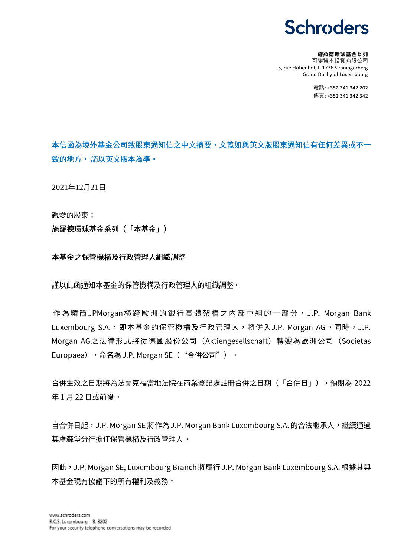## **Schroders**

#### 施羅德環球基金系列

可變資本投資有限公司 5, rue Höhenhof, L-1736 Senningerberg Grand Duchy of Luxembourg

> 電話: +352 341 342 202 傳真: +352 341 342 342

本信函為境外基金公司致股東通知信之中文摘要,文義如與英文版股東通知信有任何差異或不一 致的地方,請以英文版本為準。

2021年12月21日

親愛的股東:

施羅德環球基金系列 (「本基金」)

本基金之保管機構及行政管理人組織調整

謹以此函通知本基金的保管機構及行政管理人的組織調整。

作為精簡 JPMorgan 橫跨歐洲的銀行實體架構之內部重組的一部分, J.P. Morgan Bank Luxembourg S.A., 即本基金的保管機構及行政管理人, 將併入J.P. Morgan AG。同時, J.P. Morgan AG之法律形式將從德國股份公司 (Aktiengesellschaft) 轉變為歐洲公司 (Societas Europaea), 命名為 J.P. Morgan SE ("合併公司")。

合併生效之日期將為法蘭克福當地法院在商業登記處註冊合併之日期(「合併日」),預期為 2022 年1月22日或前後。

自合併日起,J.P. Morgan SE 將作為 J.P. Morgan Bank Luxembourg S.A. 的合法繼承人,繼續通過 其盧森堡分行擔任保管機構及行政管理人。

因此,J.P. Morgan SE, Luxembourg Branch 將履行 J.P. Morgan Bank Luxembourg S.A. 根據其與 本基金現有協議下的所有權利及義務。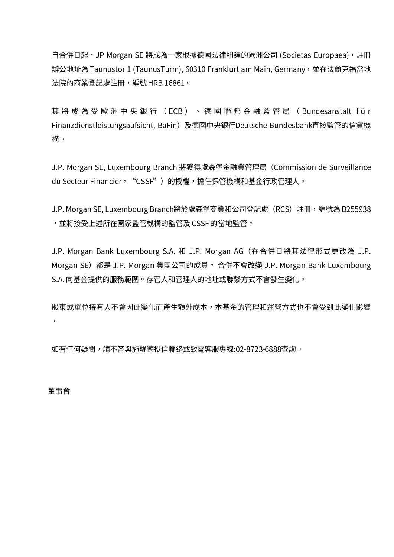自合併日起,JP Morgan SE 將成為一家根據德國法律組建的歐洲公司 (Societas Europaea),註冊 辦公地址為 Taunustor 1 (TaunusTurm), 60310 Frankfurt am Main, Germany, 並在法蘭克福當地 法院的商業登記處註冊,編號 HRB 16861。

其 將 成 為 受 歐 洲 中 央 銀 行 (ECB ) 、 德 國 聯 邦 金 融 監 管 局 ( Bundesanstalt f ü r Finanzdienstleistungsaufsicht, BaFin) 及德國中央銀行Deutsche Bundesbank直接監管的信貸機 構。

J.P. Morgan SE, Luxembourg Branch 將獲得盧森堡金融業管理局 (Commission de Surveillance du Secteur Financier, "CSSF")的授權,擔任保管機構和基金行政管理人。

J.P. Morgan SE, Luxembourg Branch將於盧森堡商業和公司登記處(RCS)註冊,編號為 B255938 ,並將接受上述所在國家監管機構的監管及 CSSF 的當地監管。

J.P. Morgan Bank Luxembourg S.A. 和 J.P. Morgan AG (在合併日將其法律形式更改為 J.P. Morgan SE) 都是 J.P. Morgan 集團公司的成員。 合併不會改變 J.P. Morgan Bank Luxembourg S.A. 向基金提供的服務範圍。存管人和管理人的地址或聯繫方式不會發生變化。

股東或單位持有人不會因此變化而產生額外成本,本基金的管理和運營方式也不會受到此變化影響  $\circ$ 

如有任何疑問,請不吝與施羅德投信聯絡或致電客服專線:02-8723-6888查詢。

#### 董事會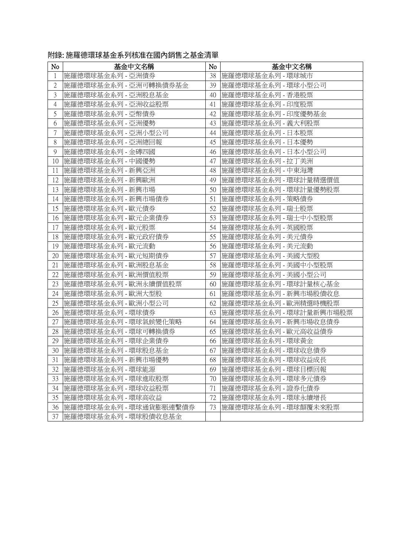| N <sub>o</sub> | 基金中文名稱                 | No. | 基金中文名稱                 |
|----------------|------------------------|-----|------------------------|
| $\mathbf{1}$   | 施羅德環球基金系列 - 亞洲債券       | 38  | 施羅德環球基金系列 - 環球城市       |
| $\overline{2}$ | 施羅德環球基金系列 - 亞洲可轉換債券基金  | 39  | 施羅德環球基金系列 - 環球小型公司     |
| 3              | 施羅德環球基金系列 - 亞洲股息基金     | 40  | 施羅德環球基金系列 - 香港股票       |
| 4              | 施羅德環球基金系列 - 亞洲收益股票     | 41  | 施羅德環球基金系列 - 印度股票       |
| 5              | 施羅德環球基金系列 - 亞幣債券       | 42  | 施羅德環球基金系列 - 印度優勢基金     |
| 6              | 施羅德環球基金系列 - 亞洲優勢       | 43  | 施羅德環球基金系列 - 義大利股票      |
| $\overline{7}$ | 施羅德環球基金系列 - 亞洲小型公司     | 44  | 施羅德環球基金系列 - 日本股票       |
| 8              | 施羅德環球基金系列 - 亞洲總回報      | 45  | 施羅德環球基金系列 - 日本優勢       |
| $\mathcal{G}$  | 施羅德環球基金系列 - 金磚四國       | 46  | 施羅德環球基金系列 - 日本小型公司     |
| 10             | 施羅德環球基金系列 - 中國優勢       | 47  | 施羅德環球基金系列 - 拉丁美洲       |
| 11             | 施羅德環球基金系列 - 新興亞洲       | 48  | 施羅德環球基金系列 - 中東海灣       |
| 12             | 施羅德環球基金系列 - 新興歐洲       | 49  | 施羅德環球基金系列 - 環球計量精選價值   |
| 13             | 施羅德環球基金系列 - 新興市場       | 50  | 施羅德環球基金系列 - 環球計量優勢股票   |
| 14             | 施羅德環球基金系列 - 新興市場債券     | 51  | 施羅德環球基金系列 - 策略債券       |
| 15             | 施羅德環球基金系列 - 歐元債券       | 52  | 施羅德環球基金系列 - 瑞士股票       |
| 16             | 施羅德環球基金系列 - 歐元企業債券     | 53  | 施羅德環球基金系列 - 瑞士中小型股票    |
| 17             | 施羅德環球基金系列 - 歐元股票       | 54  | 施羅德環球基金系列 - 英國股票       |
| 18             | 施羅德環球基金系列 - 歐元政府債券     | 55  | 施羅德環球基金系列 - 美元債券       |
| 19             | 施羅德環球基金系列 - 歐元流動       | 56  | 施羅德環球基金系列 - 美元流動       |
| 20             | 施羅德環球基金系列 - 歐元短期債券     | 57  | 施羅德環球基金系列 - 美國大型股      |
| 21             | 施羅德環球基金系列 - 歐洲股息基金     | 58  | 施羅德環球基金系列 - 美國中小型股票    |
| 22             | 施羅德環球基金系列 - 歐洲價值股票     | 59  | 施羅德環球基金系列 - 美國小型公司     |
| 23             | 施羅德環球基金系列 - 歐洲永續價值股票   | 60  | 施羅德環球基金系列 - 環球計量核心基金   |
| 24             | 施羅德環球基金系列 - 歐洲大型股      | 61  | 施羅德環球基金系列 - 新興市場股債收息   |
| 25             | 施羅德環球基金系列 - 歐洲小型公司     | 62  | 施羅德環球基金系列 - 歐洲精選時機股票   |
| 26             | 施羅德環球基金系列 - 環球債券       | 63  | 施羅德環球基金系列 - 環球計量新興市場股票 |
| 27             | 施羅德環球基金系列 - 環球氣候變化策略   | 64  | 施羅德環球基金系列 - 新興市場收息債券   |
| 28             | 施羅德環球基金系列 - 環球可轉換債券    | 65  | 施羅德環球基金系列 - 歐元高收益債券    |
| 29             | 施羅德環球基金系列 - 環球企業債券     | 66  | 施羅德環球基金系列 - 環球黃金       |
| 30             | 施羅德環球基金系列 - 環球股息基金     | 67  | 施羅德環球基金系列 - 環球收息債券     |
| 31             | 施羅德環球基金系列 - 新興市場優勢     | 68  | 施羅德環球基金系列 - 環球收益成長     |
| 32             | 施羅德環球基金系列 - 環球能源       | 69  | 施羅德環球基金系列 - 環球目標回報     |
| 33             | 施羅德環球基金系列 - 環球進取股票     | 70  | 施羅德環球基金系列 - 環球多元債券     |
| 34             | 施羅德環球基金系列 - 環球收益股票     | 71  | 施羅德環球基金系列 - 證券化債券      |
| 35             | 施羅德環球基金系列 - 環球高收益      | 72  | 施羅德環球基金系列 - 環球永續增長     |
| 36             | 施羅德環球基金系列 - 環球通貨膨脹連繫債券 | 73  | 施羅德環球基金系列 - 環球顛覆未來股票   |
| 37             | 施羅德環球基金系列 - 環球股債收息基金   |     |                        |

附錄: 施羅德環球基金系列核准在國內銷售之基金清單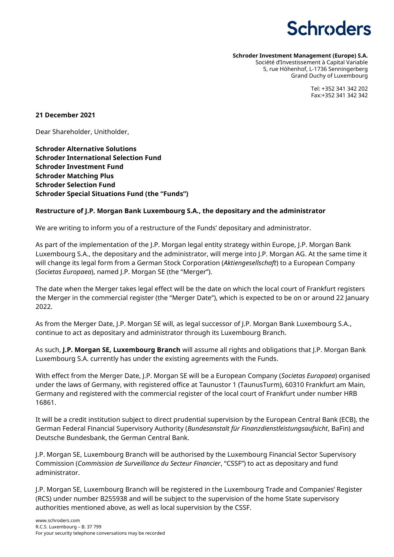# **Schroders**

**Schroder Investment Management (Europe) S.A.**

Société d'Investissement à Capital Variable 5, rue Höhenhof, L-1736 Senningerberg Grand Duchy of Luxembourg

> Tel: +352 341 342 202 Fax:+352 341 342 342

#### **21 December 2021**

Dear Shareholder, Unitholder,

**Schroder Alternative Solutions Schroder International Selection Fund Schroder Investment Fund Schroder Matching Plus Schroder Selection Fund Schroder Special Situations Fund (the "Funds")**

#### **Restructure of J.P. Morgan Bank Luxembourg S.A., the depositary and the administrator**

We are writing to inform you of a restructure of the Funds' depositary and administrator.

As part of the implementation of the J.P. Morgan legal entity strategy within Europe, J.P. Morgan Bank Luxembourg S.A., the depositary and the administrator, will merge into J.P. Morgan AG. At the same time it will change its legal form from a German Stock Corporation (*Aktiengesellschaft*) to a European Company (*Societas Europaea*), named J.P. Morgan SE (the "Merger").

The date when the Merger takes legal effect will be the date on which the local court of Frankfurt registers the Merger in the commercial register (the "Merger Date"), which is expected to be on or around 22 January 2022.

As from the Merger Date, J.P. Morgan SE will, as legal successor of J.P. Morgan Bank Luxembourg S.A., continue to act as depositary and administrator through its Luxembourg Branch.

As such, **J.P. Morgan SE, Luxembourg Branch** will assume all rights and obligations that J.P. Morgan Bank Luxembourg S.A. currently has under the existing agreements with the Funds.

With effect from the Merger Date, J.P. Morgan SE will be a European Company (*Societas Europaea*) organised under the laws of Germany, with registered office at Taunustor 1 (TaunusTurm), 60310 Frankfurt am Main, Germany and registered with the commercial register of the local court of Frankfurt under number HRB 16861.

It will be a credit institution subject to direct prudential supervision by the European Central Bank (ECB), the German Federal Financial Supervisory Authority (*Bundesanstalt für Finanzdienstleistungsaufsicht*, BaFin) and Deutsche Bundesbank, the German Central Bank.

J.P. Morgan SE, Luxembourg Branch will be authorised by the Luxembourg Financial Sector Supervisory Commission (*Commission de Surveillance du Secteur Financier*, "CSSF") to act as depositary and fund administrator.

J.P. Morgan SE, Luxembourg Branch will be registered in the Luxembourg Trade and Companies' Register (RCS) under number B255938 and will be subject to the supervision of the home State supervisory authorities mentioned above, as well as local supervision by the CSSF.